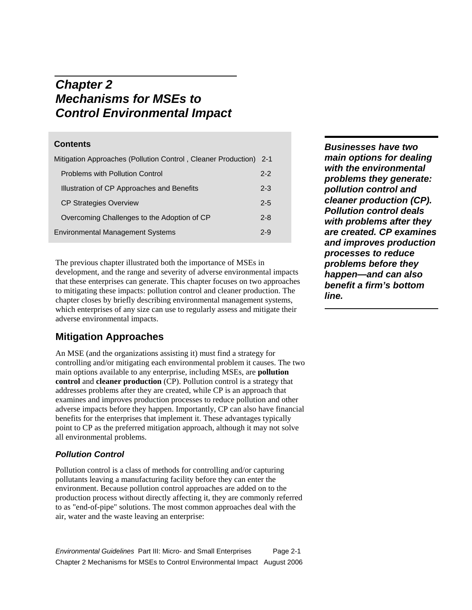# *Chapter 2 Mechanisms for MSEs to Control Environmental Impact*

# **Contents**

| Mitigation Approaches (Pollution Control, Cleaner Production) 2-1 |         |
|-------------------------------------------------------------------|---------|
| <b>Problems with Pollution Control</b>                            | $2 - 2$ |
| Illustration of CP Approaches and Benefits                        | $2 - 3$ |
| <b>CP Strategies Overview</b>                                     | $2 - 5$ |
| Overcoming Challenges to the Adoption of CP                       | $2 - 8$ |
| <b>Environmental Management Systems</b>                           |         |

The previous chapter illustrated both the importance of MSEs in development, and the range and severity of adverse environmental impacts that these enterprises can generate. This chapter focuses on two approaches to mitigating these impacts: pollution control and cleaner production. The chapter closes by briefly describing environmental management systems, which enterprises of any size can use to regularly assess and mitigate their adverse environmental impacts.

# **Mitigation Approaches**

An MSE (and the organizations assisting it) must find a strategy for controlling and/or mitigating each environmental problem it causes. The two main options available to any enterprise, including MSEs, are **pollution control** and **cleaner production** (CP). Pollution control is a strategy that addresses problems after they are created, while CP is an approach that examines and improves production processes to reduce pollution and other adverse impacts before they happen. Importantly, CP can also have financial benefits for the enterprises that implement it. These advantages typically point to CP as the preferred mitigation approach, although it may not solve all environmental problems.

# *Pollution Control*

Pollution control is a class of methods for controlling and/or capturing pollutants leaving a manufacturing facility before they can enter the environment. Because pollution control approaches are added on to the production process without directly affecting it, they are commonly referred to as "end-of-pipe" solutions. The most common approaches deal with the air, water and the waste leaving an enterprise:

*Environmental Guidelines* Part III: Micro- and Small Enterprises Page 2-1 Chapter 2 Mechanisms for MSEs to Control Environmental Impact August 2006

*Businesses have two main options for dealing with the environmental problems they generate: pollution control and cleaner production (CP). Pollution control deals with problems after they are created. CP examines and improves production processes to reduce problems before they happen—and can also benefit a firm's bottom line.*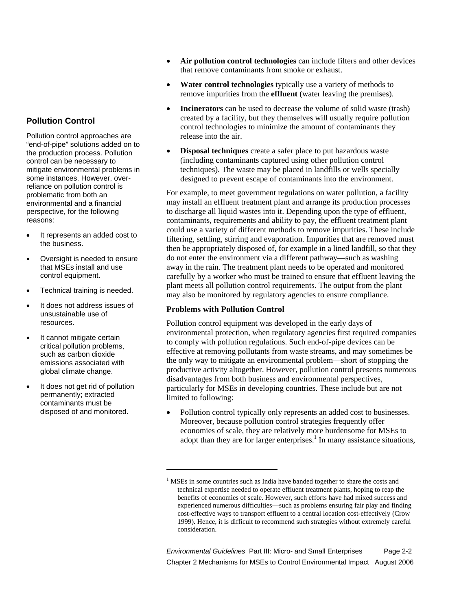# **Pollution Control**

Pollution control approaches are "end-of-pipe" solutions added on to the production process. Pollution control can be necessary to mitigate environmental problems in some instances. However, overreliance on pollution control is problematic from both an environmental and a financial perspective, for the following reasons:

- It represents an added cost to the business.
- Oversight is needed to ensure that MSEs install and use control equipment.
- Technical training is needed.
- It does not address issues of unsustainable use of resources.
- It cannot mitigate certain critical pollution problems, such as carbon dioxide emissions associated with global climate change.
- It does not get rid of pollution permanently; extracted contaminants must be disposed of and monitored.
- **Air pollution control technologies** can include filters and other devices that remove contaminants from smoke or exhaust.
- **Water control technologies** typically use a variety of methods to remove impurities from the **effluent** (water leaving the premises).
- **Incinerators** can be used to decrease the volume of solid waste (trash) created by a facility, but they themselves will usually require pollution control technologies to minimize the amount of contaminants they release into the air.
- **Disposal techniques** create a safer place to put hazardous waste (including contaminants captured using other pollution control techniques). The waste may be placed in landfills or wells specially designed to prevent escape of contaminants into the environment.

For example, to meet government regulations on water pollution, a facility may install an effluent treatment plant and arrange its production processes to discharge all liquid wastes into it. Depending upon the type of effluent, contaminants, requirements and ability to pay, the effluent treatment plant could use a variety of different methods to remove impurities. These include filtering, settling, stirring and evaporation. Impurities that are removed must then be appropriately disposed of, for example in a lined landfill, so that they do not enter the environment via a different pathway—such as washing away in the rain. The treatment plant needs to be operated and monitored carefully by a worker who must be trained to ensure that effluent leaving the plant meets all pollution control requirements. The output from the plant may also be monitored by regulatory agencies to ensure compliance.

# **Problems with Pollution Control**

 $\overline{a}$ 

Pollution control equipment was developed in the early days of environmental protection, when regulatory agencies first required companies to comply with pollution regulations. Such end-of-pipe devices can be effective at removing pollutants from waste streams, and may sometimes be the only way to mitigate an environmental problem—short of stopping the productive activity altogether. However, pollution control presents numerous disadvantages from both business and environmental perspectives, particularly for MSEs in developing countries. These include but are not limited to following:

• Pollution control typically only represents an added cost to businesses. Moreover, because pollution control strategies frequently offer economies of scale, they are relatively more burdensome for MSEs to adopt than they are for larger enterprises.<sup>1</sup> In many assistance situations,

*Environmental Guidelines* Part III: Micro- and Small Enterprises Page 2-2 Chapter 2 Mechanisms for MSEs to Control Environmental Impact August 2006

<sup>&</sup>lt;sup>1</sup> MSEs in some countries such as India have banded together to share the costs and technical expertise needed to operate effluent treatment plants, hoping to reap the benefits of economies of scale. However, such efforts have had mixed success and experienced numerous difficulties—such as problems ensuring fair play and finding cost-effective ways to transport effluent to a central location cost-effectively (Crow 1999). Hence, it is difficult to recommend such strategies without extremely careful consideration.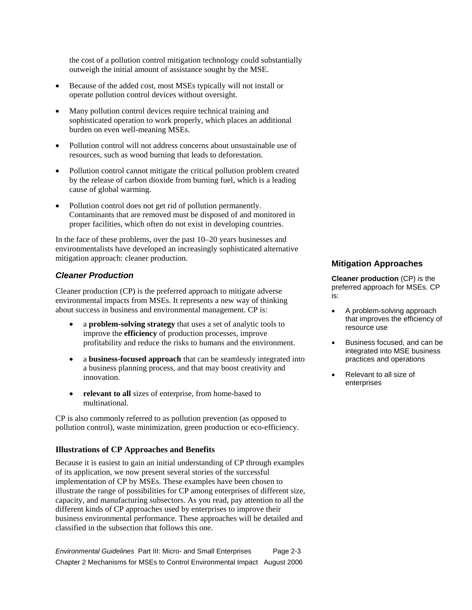the cost of a pollution control mitigation technology could substantially outweigh the initial amount of assistance sought by the MSE.

- Because of the added cost, most MSEs typically will not install or operate pollution control devices without oversight.
- Many pollution control devices require technical training and sophisticated operation to work properly, which places an additional burden on even well-meaning MSEs.
- Pollution control will not address concerns about unsustainable use of resources, such as wood burning that leads to deforestation.
- Pollution control cannot mitigate the critical pollution problem created by the release of carbon dioxide from burning fuel, which is a leading cause of global warming.
- Pollution control does not get rid of pollution permanently. Contaminants that are removed must be disposed of and monitored in proper facilities, which often do not exist in developing countries.

In the face of these problems, over the past 10–20 years businesses and environmentalists have developed an increasingly sophisticated alternative mitigation approach: cleaner production.

# *Cleaner Production*

Cleaner production (CP) is the preferred approach to mitigate adverse environmental impacts from MSEs. It represents a new way of thinking about success in business and environmental management. CP is:

- a **problem-solving strategy** that uses a set of analytic tools to improve the **efficiency** of production processes, improve profitability and reduce the risks to humans and the environment.
- a **business-focused approach** that can be seamlessly integrated into a business planning process, and that may boost creativity and innovation.
- **relevant to all** sizes of enterprise, from home-based to multinational.

CP is also commonly referred to as pollution prevention (as opposed to pollution control), waste minimization, green production or eco-efficiency.

# **Illustrations of CP Approaches and Benefits**

Because it is easiest to gain an initial understanding of CP through examples of its application, we now present several stories of the successful implementation of CP by MSEs. These examples have been chosen to illustrate the range of possibilities for CP among enterprises of different size, capacity, and manufacturing subsectors. As you read, pay attention to all the different kinds of CP approaches used by enterprises to improve their business environmental performance. These approaches will be detailed and classified in the subsection that follows this one.

*Environmental Guidelines* Part III: Micro- and Small Enterprises Page 2-3 Chapter 2 Mechanisms for MSEs to Control Environmental Impact August 2006

#### **Mitigation Approaches**

**Cleaner production** (CP) is the preferred approach for MSEs. CP is:

- A problem-solving approach that improves the efficiency of resource use
- Business focused, and can be integrated into MSE business practices and operations
- Relevant to all size of enterprises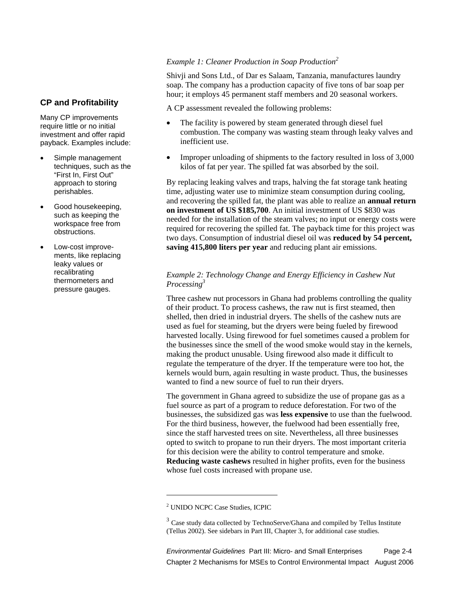# **CP and Profitability**

Many CP improvements require little or no initial investment and offer rapid payback. Examples include:

- Simple management techniques, such as the "First In, First Out" approach to storing perishables.
- Good housekeeping, such as keeping the workspace free from obstructions.
- Low-cost improvements, like replacing leaky values or recalibrating thermometers and pressure gauges.

#### *Example 1: Cleaner Production in Soap Production<sup>2</sup>*

Shivji and Sons Ltd., of Dar es Salaam, Tanzania, manufactures laundry soap. The company has a production capacity of five tons of bar soap per hour; it employs 45 permanent staff members and 20 seasonal workers.

A CP assessment revealed the following problems:

- The facility is powered by steam generated through diesel fuel combustion. The company was wasting steam through leaky valves and inefficient use.
- Improper unloading of shipments to the factory resulted in loss of 3,000 kilos of fat per year. The spilled fat was absorbed by the soil.

By replacing leaking valves and traps, halving the fat storage tank heating time, adjusting water use to minimize steam consumption during cooling, and recovering the spilled fat, the plant was able to realize an **annual return on investment of US \$185,700**. An initial investment of US \$830 was needed for the installation of the steam valves; no input or energy costs were required for recovering the spilled fat. The payback time for this project was two days. Consumption of industrial diesel oil was **reduced by 54 percent, saving 415,800 liters per year** and reducing plant air emissions.

# *Example 2: Technology Change and Energy Efficiency in Cashew Nut Processing<sup>3</sup>*

Three cashew nut processors in Ghana had problems controlling the quality of their product. To process cashews, the raw nut is first steamed, then shelled, then dried in industrial dryers. The shells of the cashew nuts are used as fuel for steaming, but the dryers were being fueled by firewood harvested locally. Using firewood for fuel sometimes caused a problem for the businesses since the smell of the wood smoke would stay in the kernels, making the product unusable. Using firewood also made it difficult to regulate the temperature of the dryer. If the temperature were too hot, the kernels would burn, again resulting in waste product. Thus, the businesses wanted to find a new source of fuel to run their dryers.

The government in Ghana agreed to subsidize the use of propane gas as a fuel source as part of a program to reduce deforestation. For two of the businesses, the subsidized gas was **less expensive** to use than the fuelwood. For the third business, however, the fuelwood had been essentially free, since the staff harvested trees on site. Nevertheless, all three businesses opted to switch to propane to run their dryers. The most important criteria for this decision were the ability to control temperature and smoke. **Reducing waste cashews** resulted in higher profits, even for the business whose fuel costs increased with propane use.

<u>.</u>

*Environmental Guidelines* Part III: Micro- and Small Enterprises Page 2-4 Chapter 2 Mechanisms for MSEs to Control Environmental Impact August 2006

<sup>2</sup> UNIDO NCPC Case Studies, ICPIC

 $3$  Case study data collected by TechnoServe/Ghana and compiled by Tellus Institute (Tellus 2002). See sidebars in Part III, Chapter 3, for additional case studies.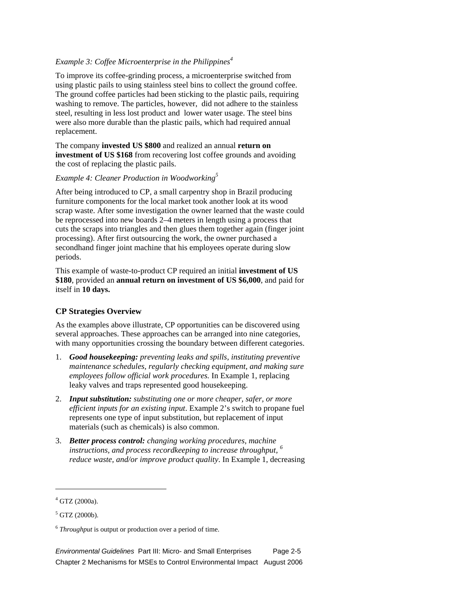#### *Example 3: Coffee Microenterprise in the Philippines*<sup>4</sup>

To improve its coffee-grinding process, a microenterprise switched from using plastic pails to using stainless steel bins to collect the ground coffee. The ground coffee particles had been sticking to the plastic pails, requiring washing to remove. The particles, however, did not adhere to the stainless steel, resulting in less lost product and lower water usage. The steel bins were also more durable than the plastic pails, which had required annual replacement.

The company **invested US \$800** and realized an annual **return on investment of US \$168** from recovering lost coffee grounds and avoiding the cost of replacing the plastic pails.

# *Example 4: Cleaner Production in Woodworking5*

After being introduced to CP, a small carpentry shop in Brazil producing furniture components for the local market took another look at its wood scrap waste. After some investigation the owner learned that the waste could be reprocessed into new boards 2–4 meters in length using a process that cuts the scraps into triangles and then glues them together again (finger joint processing). After first outsourcing the work, the owner purchased a secondhand finger joint machine that his employees operate during slow periods.

This example of waste-to-product CP required an initial **investment of US \$180**, provided an **annual return on investment of US \$6,000**, and paid for itself in **10 days.**

# **CP Strategies Overview**

As the examples above illustrate, CP opportunities can be discovered using several approaches. These approaches can be arranged into nine categories, with many opportunities crossing the boundary between different categories.

- 1. *Good housekeeping: preventing leaks and spills, instituting preventive maintenance schedules, regularly checking equipment, and making sure employees follow official work procedures.* In Example 1, replacing leaky valves and traps represented good housekeeping.
- 2. *Input substitution: substituting one or more cheaper, safer, or more efficient inputs for an existing input*. Example 2's switch to propane fuel represents one type of input substitution, but replacement of input materials (such as chemicals) is also common.
- 3. *Better process control: changing working procedures, machine instructions, and process recordkeeping to increase throughput, <sup>6</sup> reduce waste, and/or improve product quality*. In Example 1, decreasing

 $\overline{a}$ 

*Environmental Guidelines* Part III: Micro- and Small Enterprises Page 2-5 Chapter 2 Mechanisms for MSEs to Control Environmental Impact August 2006

<sup>4</sup> GTZ (2000a).

<sup>5</sup> GTZ (2000b).

<sup>6</sup> *Throughput* is output or production over a period of time.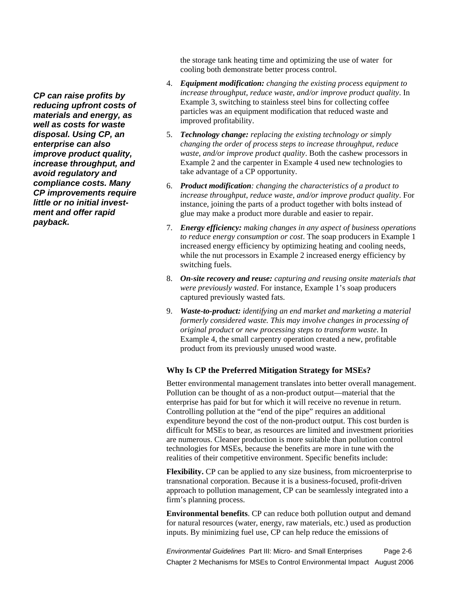the storage tank heating time and optimizing the use of water for cooling both demonstrate better process control.

- 4. *Equipment modification: changing the existing process equipment to increase throughput, reduce waste, and/or improve product quality*. In Example 3, switching to stainless steel bins for collecting coffee particles was an equipment modification that reduced waste and improved profitability.
- 5. *Technology change: replacing the existing technology or simply changing the order of process steps to increase throughput, reduce waste, and/or improve product quality*. Both the cashew processors in Example 2 and the carpenter in Example 4 used new technologies to take advantage of a CP opportunity.
- 6. *Product modification: changing the characteristics of a product to increase throughput, reduce waste, and/or improve product quality*. For instance, joining the parts of a product together with bolts instead of glue may make a product more durable and easier to repair.
- 7. *Energy efficiency: making changes in any aspect of business operations to reduce energy consumption or cost*. The soap producers in Example 1 increased energy efficiency by optimizing heating and cooling needs, while the nut processors in Example 2 increased energy efficiency by switching fuels.
- 8. *On-site recovery and reuse: capturing and reusing onsite materials that were previously wasted*. For instance, Example 1's soap producers captured previously wasted fats.
- 9. *Waste-to-product: identifying an end market and marketing a material formerly considered waste. This may involve changes in processing of original product or new processing steps to transform waste*. In Example 4, the small carpentry operation created a new, profitable product from its previously unused wood waste.

#### **Why Is CP the Preferred Mitigation Strategy for MSEs?**

Better environmental management translates into better overall management. Pollution can be thought of as a non-product output—material that the enterprise has paid for but for which it will receive no revenue in return. Controlling pollution at the "end of the pipe" requires an additional expenditure beyond the cost of the non-product output. This cost burden is difficult for MSEs to bear, as resources are limited and investment priorities are numerous. Cleaner production is more suitable than pollution control technologies for MSEs, because the benefits are more in tune with the realities of their competitive environment. Specific benefits include:

**Flexibility.** CP can be applied to any size business, from microenterprise to transnational corporation. Because it is a business-focused, profit-driven approach to pollution management, CP can be seamlessly integrated into a firm's planning process.

**Environmental benefits**. CP can reduce both pollution output and demand for natural resources (water, energy, raw materials, etc.) used as production inputs. By minimizing fuel use, CP can help reduce the emissions of

*Environmental Guidelines* Part III: Micro- and Small Enterprises Page 2-6 Chapter 2 Mechanisms for MSEs to Control Environmental Impact August 2006

*CP can raise profits by reducing upfront costs of materials and energy, as well as costs for waste disposal. Using CP, an enterprise can also improve product quality, increase throughput, and avoid regulatory and compliance costs. Many CP improvements require little or no initial investment and offer rapid payback.*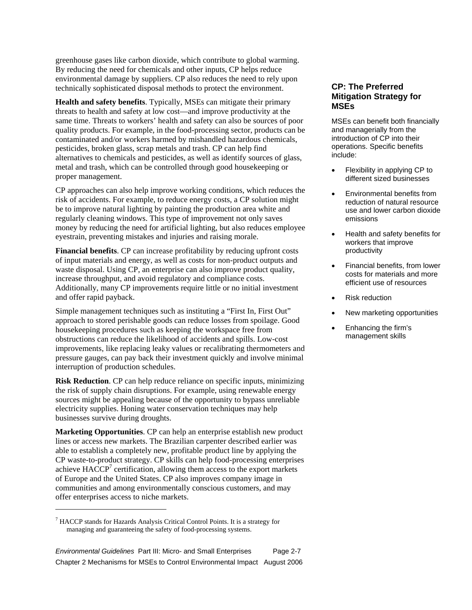greenhouse gases like carbon dioxide, which contribute to global warming. By reducing the need for chemicals and other inputs, CP helps reduce environmental damage by suppliers. CP also reduces the need to rely upon technically sophisticated disposal methods to protect the environment.

**Health and safety benefits**. Typically, MSEs can mitigate their primary threats to health and safety at low cost—and improve productivity at the same time. Threats to workers' health and safety can also be sources of poor quality products. For example, in the food-processing sector, products can be contaminated and/or workers harmed by mishandled hazardous chemicals, pesticides, broken glass, scrap metals and trash. CP can help find alternatives to chemicals and pesticides, as well as identify sources of glass, metal and trash, which can be controlled through good housekeeping or proper management.

CP approaches can also help improve working conditions, which reduces the risk of accidents. For example, to reduce energy costs, a CP solution might be to improve natural lighting by painting the production area white and regularly cleaning windows. This type of improvement not only saves money by reducing the need for artificial lighting, but also reduces employee eyestrain, preventing mistakes and injuries and raising morale.

**Financial benefits**. CP can increase profitability by reducing upfront costs of input materials and energy, as well as costs for non-product outputs and waste disposal. Using CP, an enterprise can also improve product quality, increase throughput, and avoid regulatory and compliance costs. Additionally, many CP improvements require little or no initial investment and offer rapid payback.

Simple management techniques such as instituting a "First In, First Out" approach to stored perishable goods can reduce losses from spoilage. Good housekeeping procedures such as keeping the workspace free from obstructions can reduce the likelihood of accidents and spills. Low-cost improvements, like replacing leaky values or recalibrating thermometers and pressure gauges, can pay back their investment quickly and involve minimal interruption of production schedules.

**Risk Reduction**. CP can help reduce reliance on specific inputs, minimizing the risk of supply chain disruptions. For example, using renewable energy sources might be appealing because of the opportunity to bypass unreliable electricity supplies. Honing water conservation techniques may help businesses survive during droughts.

**Marketing Opportunities**. CP can help an enterprise establish new product lines or access new markets. The Brazilian carpenter described earlier was able to establish a completely new, profitable product line by applying the CP waste-to-product strategy. CP skills can help food-processing enterprises achieve  $HACCP<sup>7</sup>$  certification, allowing them access to the export markets of Europe and the United States. CP also improves company image in communities and among environmentally conscious customers, and may offer enterprises access to niche markets.

-

# **CP: The Preferred Mitigation Strategy for MSEs**

MSEs can benefit both financially and managerially from the introduction of CP into their operations. Specific benefits include:

- Flexibility in applying CP to different sized businesses
- Environmental benefits from reduction of natural resource use and lower carbon dioxide emissions
- Health and safety benefits for workers that improve productivity
- Financial benefits, from lower costs for materials and more efficient use of resources
- Risk reduction
- New marketing opportunities
- Enhancing the firm's management skills

<sup>&</sup>lt;sup>7</sup> HACCP stands for Hazards Analysis Critical Control Points. It is a strategy for managing and guaranteeing the safety of food-processing systems.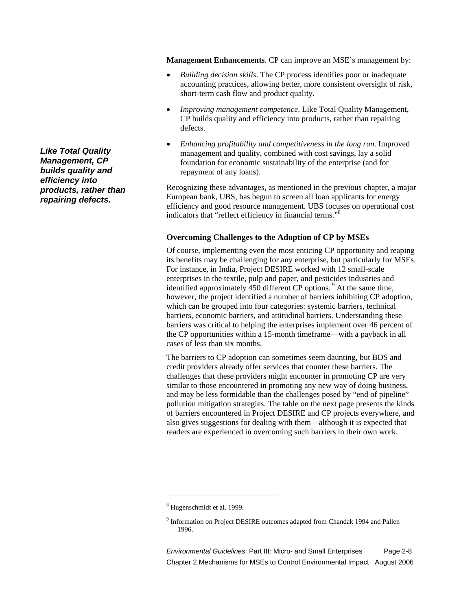**Management Enhancements**. CP can improve an MSE's management by:

- *Building decision skills*. The CP process identifies poor or inadequate accounting practices, allowing better, more consistent oversight of risk, short-term cash flow and product quality.
- *Improving management competence*. Like Total Quality Management, CP builds quality and efficiency into products, rather than repairing defects.
- *Enhancing profitability and competitiveness in the long run*. Improved management and quality, combined with cost savings, lay a solid foundation for economic sustainability of the enterprise (and for repayment of any loans).

Recognizing these advantages, as mentioned in the previous chapter, a major European bank, UBS, has begun to screen all loan applicants for energy efficiency and good resource management. UBS focuses on operational cost indicators that "reflect efficiency in financial terms."<sup>8</sup>

#### **Overcoming Challenges to the Adoption of CP by MSEs**

Of course, implementing even the most enticing CP opportunity and reaping its benefits may be challenging for any enterprise, but particularly for MSEs. For instance, in India, Project DESIRE worked with 12 small-scale enterprises in the textile, pulp and paper, and pesticides industries and identified approximately 450 different CP options.<sup>9</sup> At the same time, however, the project identified a number of barriers inhibiting CP adoption, which can be grouped into four categories: systemic barriers, technical barriers, economic barriers, and attitudinal barriers. Understanding these barriers was critical to helping the enterprises implement over 46 percent of the CP opportunities within a 15-month timeframe—with a payback in all cases of less than six months.

The barriers to CP adoption can sometimes seem daunting, but BDS and credit providers already offer services that counter these barriers. The challenges that these providers might encounter in promoting CP are very similar to those encountered in promoting any new way of doing business, and may be less formidable than the challenges posed by "end of pipeline" pollution mitigation strategies. The table on the next page presents the kinds of barriers encountered in Project DESIRE and CP projects everywhere, and also gives suggestions for dealing with them—although it is expected that readers are experienced in overcoming such barriers in their own work.

-

*Environmental Guidelines* Part III: Micro- and Small Enterprises Page 2-8 Chapter 2 Mechanisms for MSEs to Control Environmental Impact August 2006

*Like Total Quality Management, CP builds quality and efficiency into products, rather than repairing defects.* 

<sup>&</sup>lt;sup>8</sup> Hugenschmidt et al. 1999.

<sup>&</sup>lt;sup>9</sup> Information on Project DESIRE outcomes adapted from Chandak 1994 and Pallen 1996.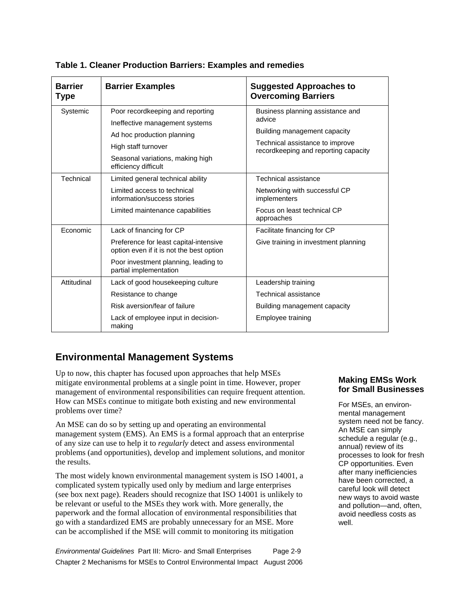| <b>Barrier</b><br><b>Type</b> | <b>Barrier Examples</b>                                                                                                                                                             | <b>Suggested Approaches to</b><br><b>Overcoming Barriers</b>                                                                                          |
|-------------------------------|-------------------------------------------------------------------------------------------------------------------------------------------------------------------------------------|-------------------------------------------------------------------------------------------------------------------------------------------------------|
| Systemic                      | Poor recordkeeping and reporting<br>Ineffective management systems<br>Ad hoc production planning<br>High staff turnover<br>Seasonal variations, making high<br>efficiency difficult | Business planning assistance and<br>advice<br>Building management capacity<br>Technical assistance to improve<br>recordkeeping and reporting capacity |
| Technical                     | Limited general technical ability<br>Limited access to technical<br>information/success stories<br>Limited maintenance capabilities                                                 | Technical assistance<br>Networking with successful CP<br>implementers<br>Focus on least technical CP<br>approaches                                    |
| Economic                      | Lack of financing for CP<br>Preference for least capital-intensive<br>option even if it is not the best option<br>Poor investment planning, leading to<br>partial implementation    | Facilitate financing for CP<br>Give training in investment planning                                                                                   |
| Attitudinal                   | Lack of good housekeeping culture<br>Resistance to change<br>Risk aversion/fear of failure<br>Lack of employee input in decision-<br>making                                         | Leadership training<br>Technical assistance<br>Building management capacity<br>Employee training                                                      |

# **Table 1. Cleaner Production Barriers: Examples and remedies**

# **Environmental Management Systems**

Up to now, this chapter has focused upon approaches that help MSEs mitigate environmental problems at a single point in time. However, proper management of environmental responsibilities can require frequent attention. How can MSEs continue to mitigate both existing and new environmental problems over time?

An MSE can do so by setting up and operating an environmental management system (EMS). An EMS is a formal approach that an enterprise of any size can use to help it to *regularly* detect and assess environmental problems (and opportunities), develop and implement solutions, and monitor the results.

The most widely known environmental management system is ISO 14001, a complicated system typically used only by medium and large enterprises (see box next page). Readers should recognize that ISO 14001 is unlikely to be relevant or useful to the MSEs they work with. More generally, the paperwork and the formal allocation of environmental responsibilities that go with a standardized EMS are probably unnecessary for an MSE. More can be accomplished if the MSE will commit to monitoring its mitigation

*Environmental Guidelines* Part III: Micro- and Small Enterprises Page 2-9 Chapter 2 Mechanisms for MSEs to Control Environmental Impact August 2006

# **Making EMSs Work for Small Businesses**

For MSEs, an environmental management system need not be fancy. An MSE can simply schedule a regular (e.g., annual) review of its processes to look for fresh CP opportunities. Even after many inefficiencies have been corrected, a careful look will detect new ways to avoid waste and pollution—and, often, avoid needless costs as well.